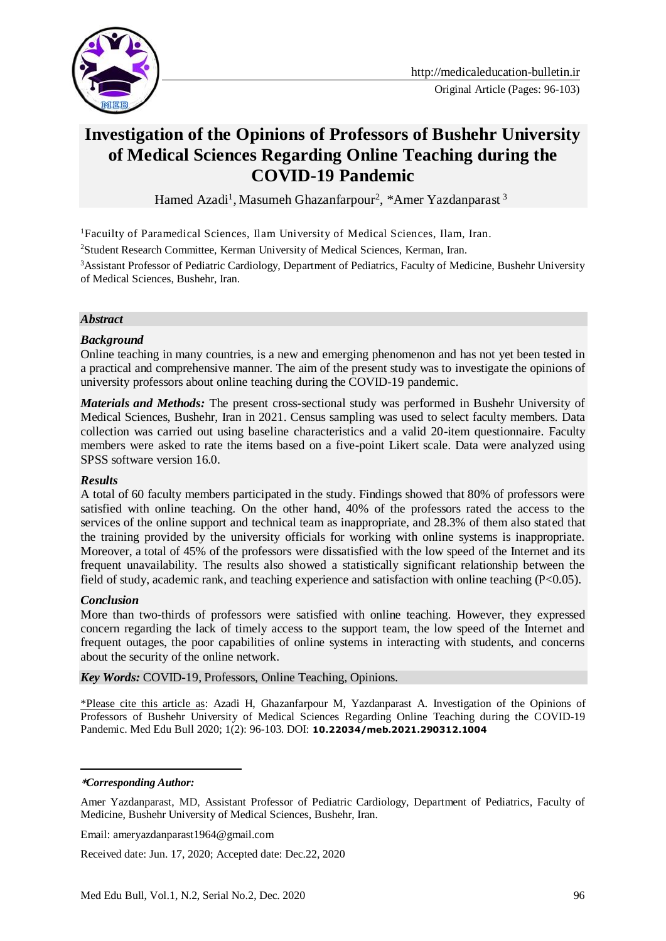

# **Investigation of the Opinions of Professors of Bushehr University of Medical Sciences Regarding Online Teaching during the COVID-19 Pandemic**

Hamed Azadi<sup>1</sup>, Masumeh Ghazanfarpour<sup>2</sup>, \*Amer Yazdanparast<sup>3</sup>

<sup>1</sup>Facuilty of Paramedical Sciences, Ilam University of Medical Sciences, Ilam, Iran.

<sup>2</sup>Student Research Committee, Kerman University of Medical Sciences, Kerman, Iran.

<sup>3</sup>Assistant Professor of Pediatric Cardiology, Department of Pediatrics, Faculty of Medicine, Bushehr University of Medical Sciences, Bushehr, Iran.

#### *Abstract*

#### *Background*

Online teaching in many countries, is a new and emerging phenomenon and has not yet been tested in a practical and comprehensive manner. The aim of the present study was to investigate the opinions of university professors about online teaching during the COVID-19 pandemic.

*Materials and Methods:* The present cross-sectional study was performed in Bushehr University of Medical Sciences, Bushehr, Iran in 2021. Census sampling was used to select faculty members. Data collection was carried out using baseline characteristics and a valid 20-item questionnaire. Faculty members were asked to rate the items based on a five-point Likert scale. Data were analyzed using SPSS software version 16.0.

#### *Results*

A total of 60 faculty members participated in the study. Findings showed that 80% of professors were satisfied with online teaching. On the other hand, 40% of the professors rated the access to the services of the online support and technical team as inappropriate, and 28.3% of them also stated that the training provided by the university officials for working with online systems is inappropriate. Moreover, a total of 45% of the professors were dissatisfied with the low speed of the Internet and its frequent unavailability. The results also showed a statistically significant relationship between the field of study, academic rank, and teaching experience and satisfaction with online teaching (P<0.05).

#### *Conclusion*

More than two-thirds of professors were satisfied with online teaching. However, they expressed concern regarding the lack of timely access to the support team, the low speed of the Internet and frequent outages, the poor capabilities of online systems in interacting with students, and concerns about the security of the online network.

*Key Words:* COVID-19, Professors, Online Teaching, Opinions.

\*Please cite this article as: Azadi H, Ghazanfarpour M, Yazdanparast A. Investigation of the Opinions of Professors of Bushehr University of Medical Sciences Regarding Online Teaching during the COVID-19 Pandemic. Med Edu Bull 2020; 1(2): 96-103. DOI: **10.22034/meb.2021.290312.1004**

#### **\****Corresponding Author:*

<u>.</u>

Amer Yazdanparast, MD, Assistant Professor of Pediatric Cardiology, Department of Pediatrics, Faculty of Medicine, Bushehr University of Medical Sciences, Bushehr, Iran.

Email: ameryazdanparast1964@gmail.com

Received date: Jun. 17, 2020; Accepted date: Dec.22, 2020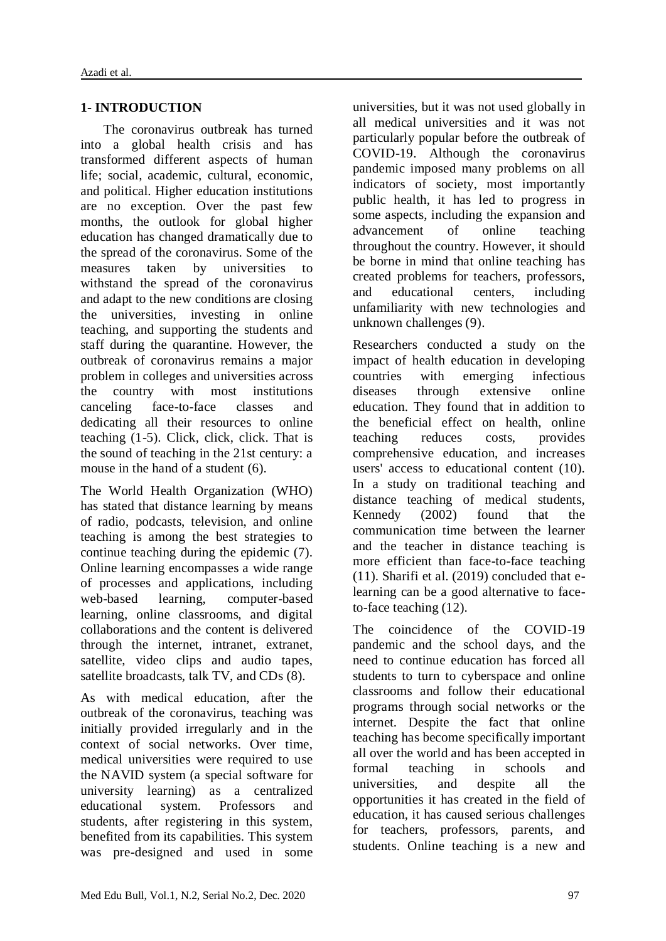### **1- INTRODUCTION**

 The coronavirus outbreak has turned into a global health crisis and has transformed different aspects of human life; social, academic, cultural, economic, and political. Higher education institutions are no exception. Over the past few months, the outlook for global higher education has changed dramatically due to the spread of the coronavirus. Some of the measures taken by universities to withstand the spread of the coronavirus and adapt to the new conditions are closing the universities, investing in online teaching, and supporting the students and staff during the quarantine. However, the outbreak of coronavirus remains a major problem in colleges and universities across the country with most institutions canceling face-to-face classes and dedicating all their resources to online teaching (1-5). Click, click, click. That is the sound of teaching in the 21st century: a mouse in the hand of a student (6).

The World Health Organization (WHO) has stated that distance learning by means of radio, podcasts, television, and online teaching is among the best strategies to continue teaching during the epidemic (7). Online learning encompasses a wide range of processes and applications, including web-based learning, computer-based learning, online classrooms, and digital collaborations and the content is delivered through the internet, intranet, extranet, satellite, video clips and audio tapes, satellite broadcasts, talk TV, and CDs (8).

As with medical education, after the outbreak of the coronavirus, teaching was initially provided irregularly and in the context of social networks. Over time, medical universities were required to use the NAVID system (a special software for university learning) as a centralized educational system. Professors and students, after registering in this system, benefited from its capabilities. This system was pre-designed and used in some universities, but it was not used globally in all medical universities and it was not particularly popular before the outbreak of COVID-19. Although the coronavirus pandemic imposed many problems on all indicators of society, most importantly public health, it has led to progress in some aspects, including the expansion and advancement of online teaching throughout the country. However, it should be borne in mind that online teaching has created problems for teachers, professors, and educational centers, including unfamiliarity with new technologies and unknown challenges (9).

Researchers conducted a study on the impact of health education in developing countries with emerging infectious diseases through extensive online education. They found that in addition to the beneficial effect on health, online teaching reduces costs, provides comprehensive education, and increases users' access to educational content (10). In a study on traditional teaching and distance teaching of medical students, Kennedy (2002) found that the communication time between the learner and the teacher in distance teaching is more efficient than face-to-face teaching (11). Sharifi et al. (2019) concluded that elearning can be a good alternative to faceto-face teaching (12).

The coincidence of the COVID-19 pandemic and the school days, and the need to continue education has forced all students to turn to cyberspace and online classrooms and follow their educational programs through social networks or the internet. Despite the fact that online teaching has become specifically important all over the world and has been accepted in formal teaching in schools and universities, and despite all the opportunities it has created in the field of education, it has caused serious challenges for teachers, professors, parents, and students. Online teaching is a new and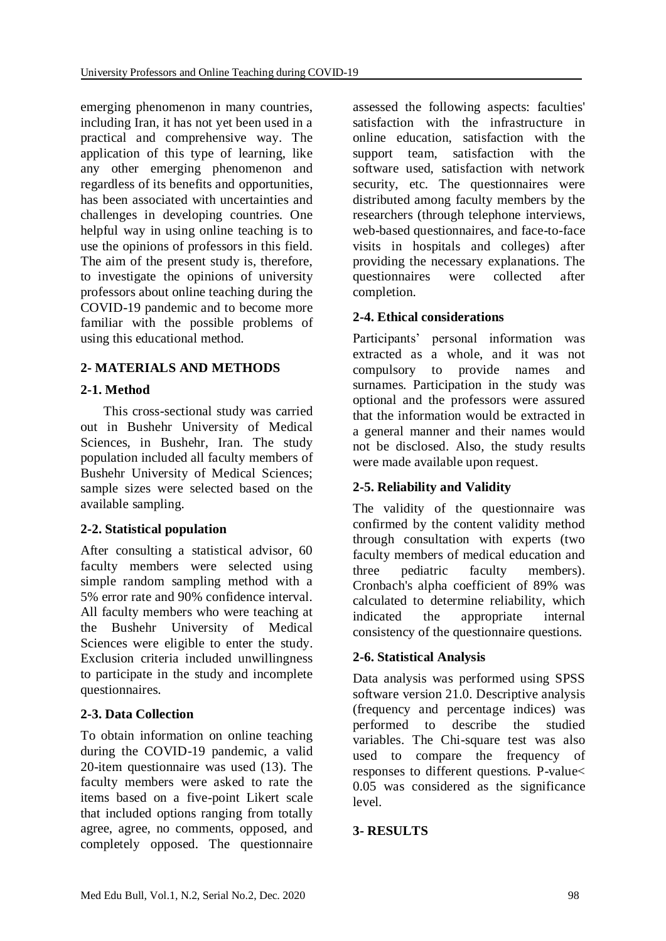emerging phenomenon in many countries, including Iran, it has not yet been used in a practical and comprehensive way. The application of this type of learning, like any other emerging phenomenon and regardless of its benefits and opportunities, has been associated with uncertainties and challenges in developing countries. One helpful way in using online teaching is to use the opinions of professors in this field. The aim of the present study is, therefore, to investigate the opinions of university professors about online teaching during the COVID-19 pandemic and to become more familiar with the possible problems of using this educational method.

## **2- MATERIALS AND METHODS**

## **2-1. Method**

 This cross-sectional study was carried out in Bushehr University of Medical Sciences, in Bushehr, Iran. The study population included all faculty members of Bushehr University of Medical Sciences; sample sizes were selected based on the available sampling.

## **2-2. Statistical population**

After consulting a statistical advisor, 60 faculty members were selected using simple random sampling method with a 5% error rate and 90% confidence interval. All faculty members who were teaching at the Bushehr University of Medical Sciences were eligible to enter the study. Exclusion criteria included unwillingness to participate in the study and incomplete questionnaires.

## **2-3. Data Collection**

To obtain information on online teaching during the COVID-19 pandemic, a valid 20-item questionnaire was used (13). The faculty members were asked to rate the items based on a five-point Likert scale that included options ranging from totally agree, agree, no comments, opposed, and completely opposed. The questionnaire

assessed the following aspects: faculties' satisfaction with the infrastructure in online education, satisfaction with the support team, satisfaction with the software used, satisfaction with network security, etc. The questionnaires were distributed among faculty members by the researchers (through telephone interviews, web-based questionnaires, and face-to-face visits in hospitals and colleges) after providing the necessary explanations. The<br>questionnaires were collected after questionnaires were collected after completion.

## **2-4. Ethical considerations**

Participants' personal information was extracted as a whole, and it was not compulsory to provide names and surnames. Participation in the study was optional and the professors were assured that the information would be extracted in a general manner and their names would not be disclosed. Also, the study results were made available upon request.

## **2-5. Reliability and Validity**

The validity of the questionnaire was confirmed by the content validity method through consultation with experts (two faculty members of medical education and three pediatric faculty members). Cronbach's alpha coefficient of 89% was calculated to determine reliability, which indicated the appropriate internal consistency of the questionnaire questions.

## **2-6. Statistical Analysis**

Data analysis was performed using SPSS software version 21.0. Descriptive analysis (frequency and percentage indices) was performed to describe the studied variables. The Chi-square test was also used to compare the frequency of responses to different questions. P-value< 0.05 was considered as the significance level.

## **3- RESULTS**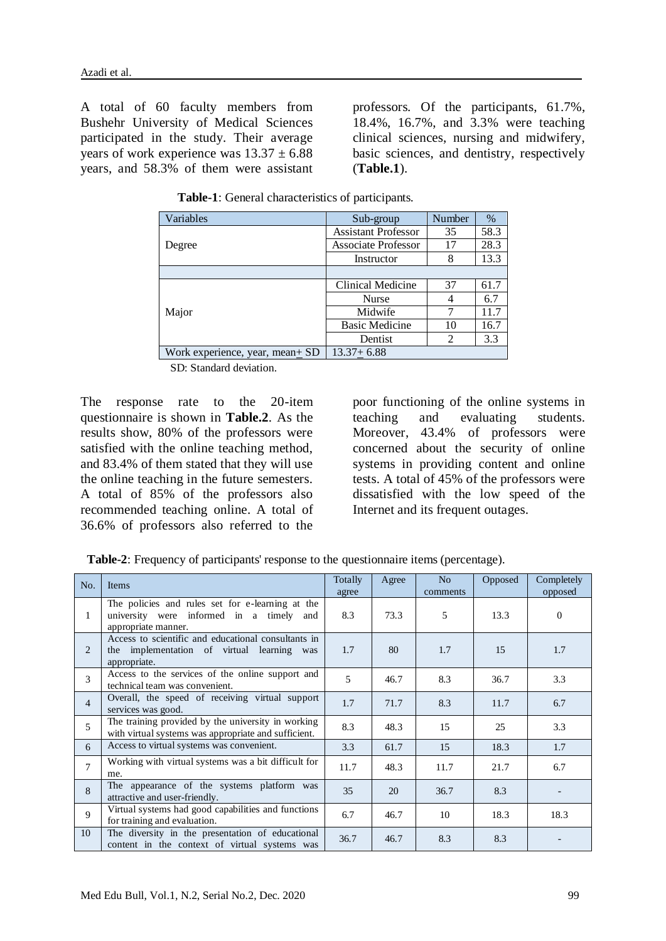A total of 60 faculty members from Bushehr University of Medical Sciences participated in the study. Their average years of work experience was  $13.37 \pm 6.88$ years, and 58.3% of them were assistant professors. Of the participants, 61.7%, 18.4%, 16.7%, and 3.3% were teaching clinical sciences, nursing and midwifery, basic sciences, and dentistry, respectively (**Table.1**).

| Variables                       | Sub-group                  | Number | $\%$ |
|---------------------------------|----------------------------|--------|------|
|                                 | <b>Assistant Professor</b> | 35     | 58.3 |
| Degree                          | <b>Associate Professor</b> | 17     | 28.3 |
|                                 | Instructor                 | 8      | 13.3 |
|                                 |                            |        |      |
|                                 | Clinical Medicine          | 37     | 61.7 |
|                                 | <b>Nurse</b>               | 4      | 6.7  |
| Major                           | Midwife                    | 7      | 11.7 |
|                                 | <b>Basic Medicine</b>      | 10     | 16.7 |
|                                 | Dentist                    | 2      | 3.3  |
| Work experience, year, mean+ SD | $13.37 + 6.88$             |        |      |

**Table-1**: General characteristics of participants.

SD: Standard deviation.

The response rate to the 20-item questionnaire is shown in **Table.2**. As the results show, 80% of the professors were satisfied with the online teaching method, and 83.4% of them stated that they will use the online teaching in the future semesters. A total of 85% of the professors also recommended teaching online. A total of 36.6% of professors also referred to the

poor functioning of the online systems in teaching and evaluating students. Moreover, 43.4% of professors were concerned about the security of online systems in providing content and online tests. A total of 45% of the professors were dissatisfied with the low speed of the Internet and its frequent outages.

 **Table-2**: Frequency of participants' response to the questionnaire items (percentage).

| No.            | Items                                                                                                                  |      | Agree | No<br>comments | Opposed | Completely<br>opposed |
|----------------|------------------------------------------------------------------------------------------------------------------------|------|-------|----------------|---------|-----------------------|
| 1              | The policies and rules set for e-learning at the<br>university were informed in a timely<br>and<br>appropriate manner. |      | 73.3  | 5              | 13.3    | $\mathbf{0}$          |
| 2              | Access to scientific and educational consultants in<br>the implementation of virtual learning was<br>appropriate.      |      | 80    | 1.7            | 15      | 1.7                   |
| 3              | Access to the services of the online support and<br>technical team was convenient.                                     |      | 46.7  | 8.3            | 36.7    | 3.3                   |
| $\overline{4}$ | Overall, the speed of receiving virtual support<br>services was good.                                                  | 1.7  | 71.7  | 8.3            | 11.7    | 6.7                   |
| 5              | The training provided by the university in working<br>with virtual systems was appropriate and sufficient.             |      | 48.3  | 15             | 25      | 3.3                   |
| 6              | Access to virtual systems was convenient.                                                                              | 3.3  | 61.7  | 15             | 18.3    | 1.7                   |
| 7              | Working with virtual systems was a bit difficult for<br>me.                                                            |      | 48.3  | 11.7           | 21.7    | 6.7                   |
| 8              | The appearance of the systems platform was<br>attractive and user-friendly.                                            | 35   | 20    | 36.7           | 8.3     |                       |
| 9              | Virtual systems had good capabilities and functions<br>for training and evaluation.                                    |      | 46.7  | 10             | 18.3    | 18.3                  |
| 10             | The diversity in the presentation of educational<br>content in the context of virtual systems was                      | 36.7 | 46.7  | 8.3            | 8.3     |                       |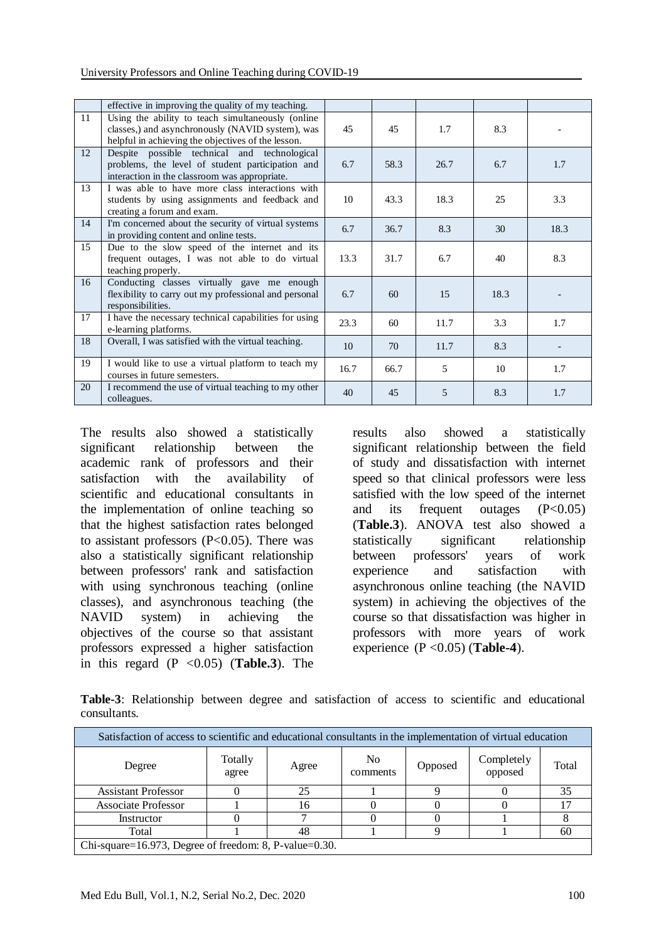|    | effective in improving the quality of my teaching.                                                                                                          |      |      |      |      |      |
|----|-------------------------------------------------------------------------------------------------------------------------------------------------------------|------|------|------|------|------|
| 11 | Using the ability to teach simultaneously (online<br>classes,) and asynchronously (NAVID system), was<br>helpful in achieving the objectives of the lesson. | 45   | 45   | 1.7  | 8.3  |      |
| 12 | Despite possible technical and technological<br>problems, the level of student participation and<br>interaction in the classroom was appropriate.           | 6.7  | 58.3 | 26.7 | 6.7  | 1.7  |
| 13 | I was able to have more class interactions with<br>students by using assignments and feedback and<br>creating a forum and exam.                             | 10   | 43.3 | 18.3 | 25   | 3.3  |
| 14 | I'm concerned about the security of virtual systems<br>in providing content and online tests.                                                               | 6.7  | 36.7 | 8.3  | 30   | 18.3 |
| 15 | Due to the slow speed of the internet and its<br>frequent outages, I was not able to do virtual<br>teaching properly.                                       |      | 31.7 | 6.7  | 40   | 8.3  |
| 16 | Conducting classes virtually gave me enough<br>flexibility to carry out my professional and personal<br>responsibilities.                                   | 6.7  | 60   | 15   | 18.3 |      |
| 17 | I have the necessary technical capabilities for using<br>e-learning platforms.                                                                              | 23.3 | 60   | 11.7 | 3.3  | 1.7  |
| 18 | Overall, I was satisfied with the virtual teaching.                                                                                                         |      | 70   | 11.7 | 8.3  |      |
| 19 | I would like to use a virtual platform to teach my<br>courses in future semesters.                                                                          | 16.7 | 66.7 | 5    | 10   | 1.7  |
| 20 | I recommend the use of virtual teaching to my other<br>colleagues.                                                                                          | 40   | 45   | 5    | 8.3  | 1.7  |

The results also showed a statistically significant relationship between the academic rank of professors and their satisfaction with the availability of scientific and educational consultants in the implementation of online teaching so that the highest satisfaction rates belonged to assistant professors (P<0.05). There was also a statistically significant relationship between professors' rank and satisfaction with using synchronous teaching (online classes), and asynchronous teaching (the NAVID system) in achieving the objectives of the course so that assistant professors expressed a higher satisfaction in this regard  $(P \le 0.05)$  (**Table.3**). The

results also showed a statistically significant relationship between the field of study and dissatisfaction with internet speed so that clinical professors were less satisfied with the low speed of the internet and its frequent outages  $(P<0.05)$ (**Table.3**). ANOVA test also showed a statistically significant relationship between professors' years of work experience and satisfaction with asynchronous online teaching (the NAVID system) in achieving the objectives of the course so that dissatisfaction was higher in professors with more years of work experience (P <0.05) (**Table-4**).

**Table-3**: Relationship between degree and satisfaction of access to scientific and educational consultants.

| Satisfaction of access to scientific and educational consultants in the implementation of virtual education |                  |       |                            |  |                       |       |  |  |
|-------------------------------------------------------------------------------------------------------------|------------------|-------|----------------------------|--|-----------------------|-------|--|--|
| Degree                                                                                                      | Totally<br>agree | Agree | N <sub>0</sub><br>comments |  | Completely<br>opposed | Total |  |  |
| <b>Assistant Professor</b>                                                                                  |                  | 25    |                            |  |                       | 35    |  |  |
| <b>Associate Professor</b>                                                                                  |                  | 16    |                            |  |                       |       |  |  |
| Instructor                                                                                                  |                  |       |                            |  |                       |       |  |  |
| Total                                                                                                       |                  | 48    |                            |  |                       | 60    |  |  |
| Chi-square=16.973, Degree of freedom: 8, P-value= $0.30$ .                                                  |                  |       |                            |  |                       |       |  |  |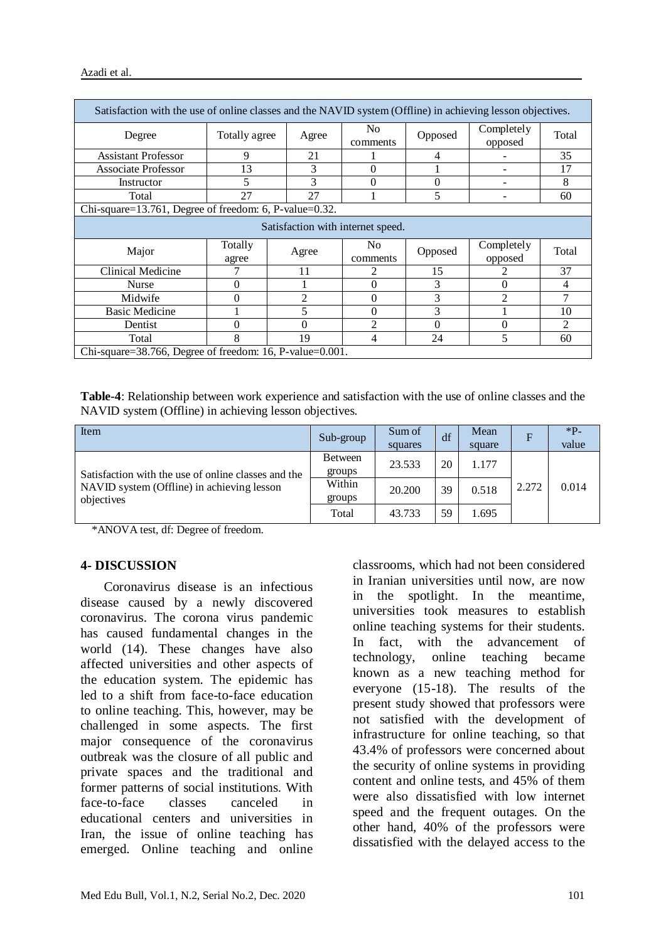| Satisfaction with the use of online classes and the NAVID system (Offline) in achieving lesson objectives. |                  |                |                            |          |                       |                |  |  |
|------------------------------------------------------------------------------------------------------------|------------------|----------------|----------------------------|----------|-----------------------|----------------|--|--|
| Degree                                                                                                     | Totally agree    | Agree          | N <sub>0</sub><br>comments | Opposed  | Completely<br>opposed | Total          |  |  |
| <b>Assistant Professor</b>                                                                                 | 9                | 21             |                            | 4        |                       | 35             |  |  |
| <b>Associate Professor</b>                                                                                 | 13               | 3              | 0                          |          |                       | 17             |  |  |
| Instructor                                                                                                 | 5                | 3              | 0                          | $\Omega$ |                       | 8              |  |  |
| 5<br>27<br>27<br>Total<br>60                                                                               |                  |                |                            |          |                       |                |  |  |
| Chi-square=13.761, Degree of freedom: 6, P-value=0.32.                                                     |                  |                |                            |          |                       |                |  |  |
| Satisfaction with internet speed.                                                                          |                  |                |                            |          |                       |                |  |  |
| Major                                                                                                      | Totally<br>agree | Agree          | N <sub>0</sub>             | Opposed  | Completely            | Total          |  |  |
|                                                                                                            |                  |                | comments                   |          | opposed               |                |  |  |
| <b>Clinical Medicine</b>                                                                                   |                  | 11             |                            | 15       |                       | 37             |  |  |
| <b>Nurse</b>                                                                                               | 0                |                | 0                          | 3        | $\theta$              | 4              |  |  |
| Midwife                                                                                                    | 0                | $\mathfrak{D}$ | $\Omega$                   | 3        | $\mathfrak{D}$        | 7              |  |  |
| <b>Basic Medicine</b>                                                                                      |                  | 5              | 0                          | 3        |                       | 10             |  |  |
| Dentist                                                                                                    | 0                |                | っ                          | $\Omega$ | 0                     | $\mathfrak{D}$ |  |  |
| Total                                                                                                      | 8                | 19             | 4                          | 24       | 5                     | 60             |  |  |

**Table-4**: Relationship between work experience and satisfaction with the use of online classes and the NAVID system (Offline) in achieving lesson objectives.

| Item                                                                                                            | Sub-group                | Sum of<br>squares | df | Mean<br>square | $\overline{F}$ | $*P$<br>value |
|-----------------------------------------------------------------------------------------------------------------|--------------------------|-------------------|----|----------------|----------------|---------------|
| Satisfaction with the use of online classes and the<br>NAVID system (Offline) in achieving lesson<br>objectives | <b>Between</b><br>groups | 23.533            | 20 | 1.177          |                |               |
|                                                                                                                 | Within<br>groups         | 20.200            | 39 | 0.518          | 2.272          | 0.014         |
|                                                                                                                 | Total                    | 43.733            | 59 | 1.695          |                |               |

\*ANOVA test, df: Degree of freedom.

#### **4- DISCUSSION**

 Coronavirus disease is an infectious disease caused by a newly discovered coronavirus. The corona virus pandemic has caused fundamental changes in the world (14). These changes have also affected universities and other aspects of the education system. The epidemic has led to a shift from face-to-face education to online teaching. This, however, may be challenged in some aspects. The first major consequence of the coronavirus outbreak was the closure of all public and private spaces and the traditional and former patterns of social institutions. With face-to-face classes canceled in educational centers and universities in Iran, the issue of online teaching has emerged. Online teaching and online

classrooms, which had not been considered in Iranian universities until now, are now in the spotlight. In the meantime, universities took measures to establish online teaching systems for their students. In fact, with the advancement of technology, online teaching became known as a new teaching method for everyone (15-18). The results of the present study showed that professors were not satisfied with the development of infrastructure for online teaching, so that 43.4% of professors were concerned about the security of online systems in providing content and online tests, and 45% of them were also dissatisfied with low internet speed and the frequent outages. On the other hand, 40% of the professors were dissatisfied with the delayed access to the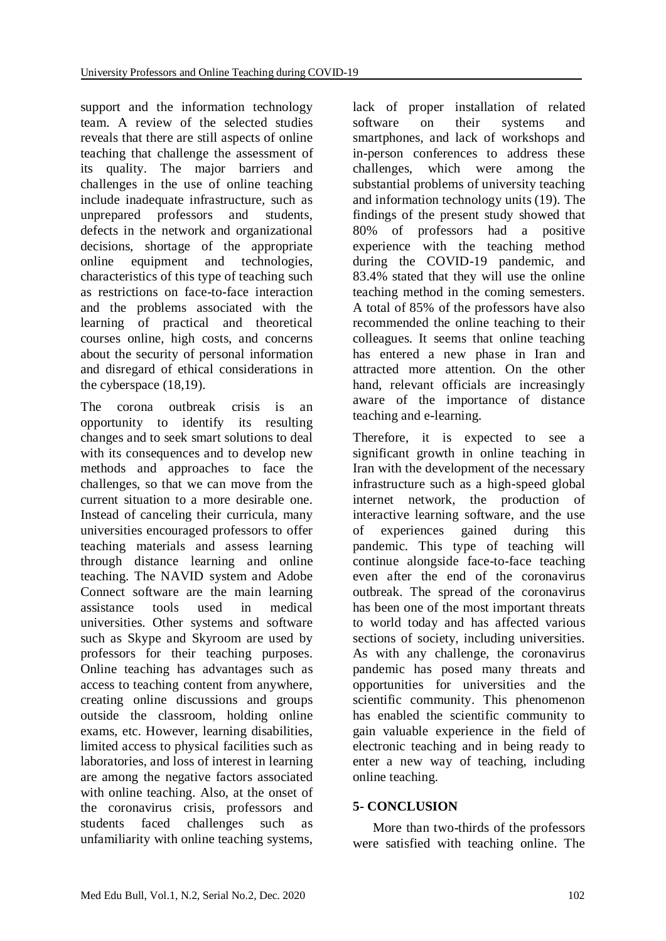support and the information technology team. A review of the selected studies reveals that there are still aspects of online teaching that challenge the assessment of its quality. The major barriers and challenges in the use of online teaching include inadequate infrastructure, such as unprepared professors and students, defects in the network and organizational decisions, shortage of the appropriate online equipment and technologies, characteristics of this type of teaching such as restrictions on face-to-face interaction and the problems associated with the learning of practical and theoretical courses online, high costs, and concerns about the security of personal information and disregard of ethical considerations in the cyberspace (18,19).

The corona outbreak crisis is an opportunity to identify its resulting changes and to seek smart solutions to deal with its consequences and to develop new methods and approaches to face the challenges, so that we can move from the current situation to a more desirable one. Instead of canceling their curricula, many universities encouraged professors to offer teaching materials and assess learning through distance learning and online teaching. The NAVID system and Adobe Connect software are the main learning assistance tools used in medical universities. Other systems and software such as Skype and Skyroom are used by professors for their teaching purposes. Online teaching has advantages such as access to teaching content from anywhere, creating online discussions and groups outside the classroom, holding online exams, etc. However, learning disabilities, limited access to physical facilities such as laboratories, and loss of interest in learning are among the negative factors associated with online teaching. Also, at the onset of the coronavirus crisis, professors and students faced challenges such as unfamiliarity with online teaching systems,

lack of proper installation of related software on their systems and smartphones, and lack of workshops and in-person conferences to address these challenges, which were among the substantial problems of university teaching and information technology units (19). The findings of the present study showed that 80% of professors had a positive experience with the teaching method during the COVID-19 pandemic, and 83.4% stated that they will use the online teaching method in the coming semesters. A total of 85% of the professors have also recommended the online teaching to their colleagues. It seems that online teaching has entered a new phase in Iran and attracted more attention. On the other hand, relevant officials are increasingly aware of the importance of distance teaching and e-learning.

Therefore, it is expected to see a significant growth in online teaching in Iran with the development of the necessary infrastructure such as a high-speed global internet network, the production of interactive learning software, and the use of experiences gained during this pandemic. This type of teaching will continue alongside face-to-face teaching even after the end of the coronavirus outbreak. The spread of the coronavirus has been one of the most important threats to world today and has affected various sections of society, including universities. As with any challenge, the coronavirus pandemic has posed many threats and opportunities for universities and the scientific community. This phenomenon has enabled the scientific community to gain valuable experience in the field of electronic teaching and in being ready to enter a new way of teaching, including online teaching.

#### **5- CONCLUSION**

 More than two-thirds of the professors were satisfied with teaching online. The